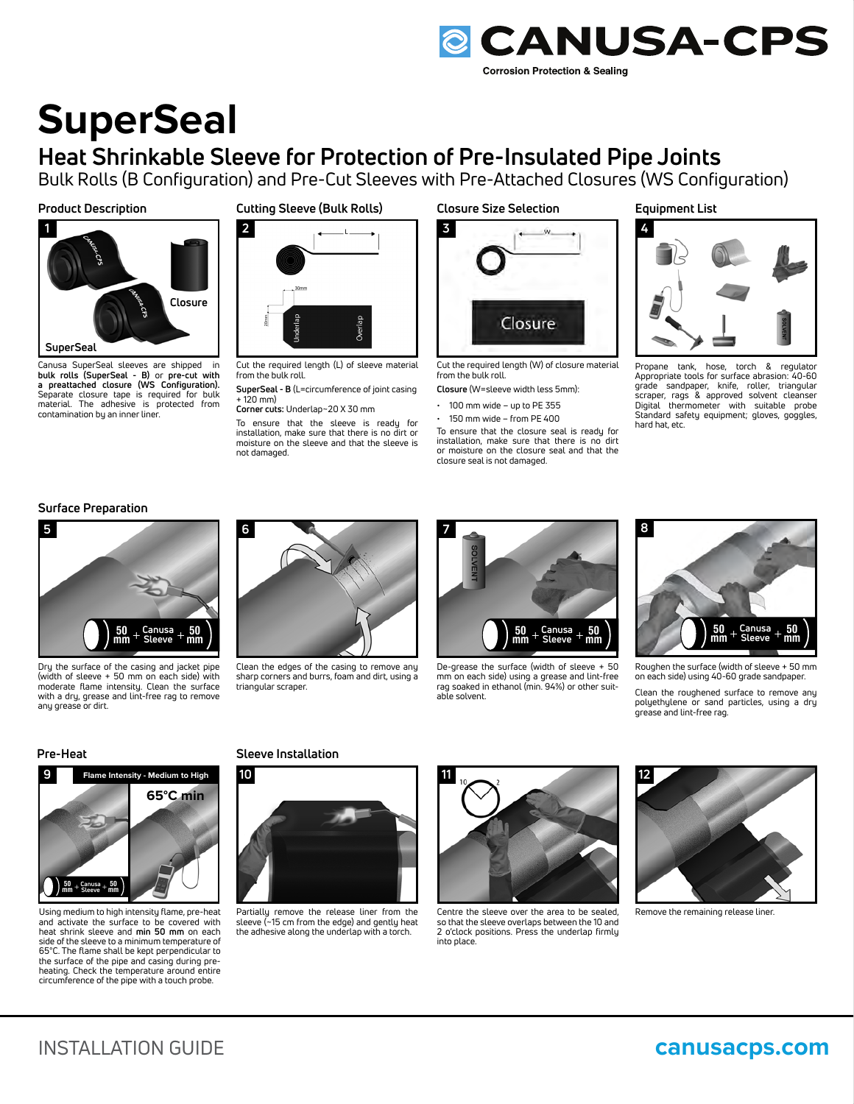

## any grease or dirt.

#### **Pre-Heat**



Using medium to high intensity flame, pre-heat and activate the surface to be covered with heat shrink sleeve and **min 50 mm** on each side of the sleeve to a minimum temperature of 65°C. The flame shall be kept perpendicular to the surface of the pipe and casing during preheating. Check the temperature around entire circumference of the pipe with a touch probe.

### **Sleeve Installation**



Partially remove the release liner from the sleeve (~15 cm from the edge) and gently heat the adhesive along the underlap with a torch.



**11**

able solvent.

Centre the sleeve over the area to be sealed, so that the sleeve overlaps between the 10 and 2 o'clock positions. Press the underlap firmly into place.

**12**

Remove the remaining release liner.

on each side) using 40-60 grade sandpaper. Clean the roughened surface to remove any polyethylene or sand particles, using a dry grease and lint-free rag.

Roughen the surface (width of sleeve + 50 mm

 $+$  Canusa  $+$  **50**<br>+ Sleeve + **mm Sleeve**

**50 mm**

**Surface Preparation**



Dry the surface of the casing and jacket pipe (width of sleeve + 50 mm on each side) with moderate flame intensity. Clean the surface with a dry, grease and lint-free rag to remove



Clean the edges of the casing to remove any sharp corners and burrs, foam and dirt, using a triangular scraper.



mm on each side) using a grease and lint-free rag soaked in ethanol (min. 94%) or other suit-

closure seal is not damaged.

Cut the required length (W) of closure material

Closure

To ensure that the closure seal is ready for installation, make sure that there is no dirt or moisture on the closure seal and that the

**Closure** (W=sleeve width less 5mm):  $\cdot$  100 mm wide – up to PE 355  $\cdot$  150 mm wide – from PE 400

**Closure Size Selection**

**Corrosion Protection & Sealing** 

**Equipment List**

**@ CANUSA-CPS** 

**8**



Propane tank, hose, torch & regulator Appropriate tools for surface abrasion: 40-60 grade sandpaper, knife, roller, triangular scraper, rags & approved solvent cleanser Digital thermometer with suitable probe Standard safety equipment; gloves, goggles, hard hat, etc.

# **SuperSeal**

## **Heat Shrinkable Sleeve for Protection of Pre-Insulated Pipe Joints**

Bulk Rolls (B Configuration) and Pre-Cut Sleeves with Pre-Attached Closures (WS Configuration)

**3**

from the bulk roll.

#### **Product Description Cutting Sleeve (Bulk Rolls)**



Canusa SuperSeal sleeves are shipped in **bulk rolls (SuperSeal - B)** or **pre-cut with a preattached closure (WS Configuration).** Separate closure tape is required for bulk material. The adhesive is protected from contamination by an inner liner.



Cut the required length (L) of sleeve material from the bulk roll.

**SuperSeal - B** (L=circumference of joint casing  $+120$  mm)

**Corner cuts:** Underlap~20 X 30 mm

To ensure that the sleeve is ready for installation, make sure that there is no dirt or moisture on the sleeve and that the sleeve is not damaged.